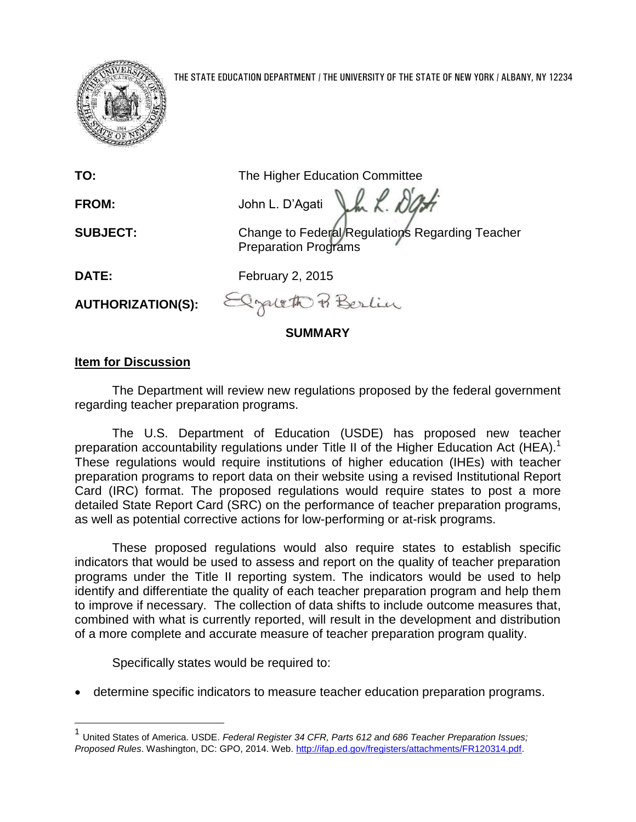

| TO:                      | The Higher Education Committee                                          |
|--------------------------|-------------------------------------------------------------------------|
| <b>FROM:</b>             | M<br>John L. D'Agati                                                    |
| <b>SUBJECT:</b>          | Change to Federal Regulations Regarding Teacher<br>Preparation Programs |
| DATE:                    | February 2, 2015                                                        |
| <b>AUTHORIZATION(S):</b> | Elzaleth & Berlin                                                       |

**SUMMARY**

## **Item for Discussion**

 $\overline{a}$ 

The Department will review new regulations proposed by the federal government regarding teacher preparation programs.

The U.S. Department of Education (USDE) has proposed new teacher preparation accountability regulations under Title II of the Higher Education Act (HEA).<sup>1</sup> These regulations would require institutions of higher education (IHEs) with teacher preparation programs to report data on their website using a revised Institutional Report Card (IRC) format. The proposed regulations would require states to post a more detailed State Report Card (SRC) on the performance of teacher preparation programs, as well as potential corrective actions for low-performing or at-risk programs.

These proposed regulations would also require states to establish specific indicators that would be used to assess and report on the quality of teacher preparation programs under the Title II reporting system. The indicators would be used to help identify and differentiate the quality of each teacher preparation program and help them to improve if necessary. The collection of data shifts to include outcome measures that, combined with what is currently reported, will result in the development and distribution of a more complete and accurate measure of teacher preparation program quality.

Specifically states would be required to:

determine specific indicators to measure teacher education preparation programs.

<sup>1</sup> United States of America. USDE. *Federal Register 34 CFR, Parts 612 and 686 Teacher Preparation Issues; Proposed Rules*. Washington, DC: GPO, 2014. Web. [http://ifap.ed.gov/fregisters/attachments/FR120314.pdf.](http://ifap.ed.gov/fregisters/attachments/FR120314.pdf)